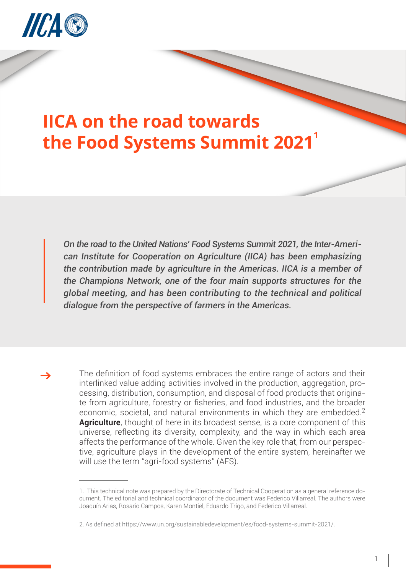

## **IICA on the road towards the Food Systems Summit 2021**

*On the road to the United Nations' Food Systems Summit 2021, the Inter-American Institute for Cooperation on Agriculture (IICA) has been emphasizing the contribution made by agriculture in the Americas. IICA is a member of the Champions Network, one of the four main supports structures for the global meeting, and has been contributing to the technical and political dialogue from the perspective of farmers in the Americas.* 

The definition of food systems embraces the entire range of actors and their interlinked value adding activities involved in the production, aggregation, processing, distribution, consumption, and disposal of food products that originate from agriculture, forestry or fisheries, and food industries, and the broader economic, societal, and natural environments in which they are embedded.<sup>2</sup> **Agriculture**, thought of here in its broadest sense, is a core component of this universe, reflecting its diversity, complexity, and the way in which each area affects the performance of the whole. Given the key role that, from our perspective, agriculture plays in the development of the entire system, hereinafter we will use the term "agri-food systems" (AFS).

<sup>1.</sup> This technical note was prepared by the Directorate of Technical Cooperation as a general reference document. The editorial and technical coordinator of the document was Federico Villarreal. The authors were Joaquín Arias, Rosario Campos, Karen Montiel, Eduardo Trigo, and Federico Villarreal.

<sup>2.</sup> As defined at https://www.un.org/sustainabledevelopment/es/food-systems-summit-2021/.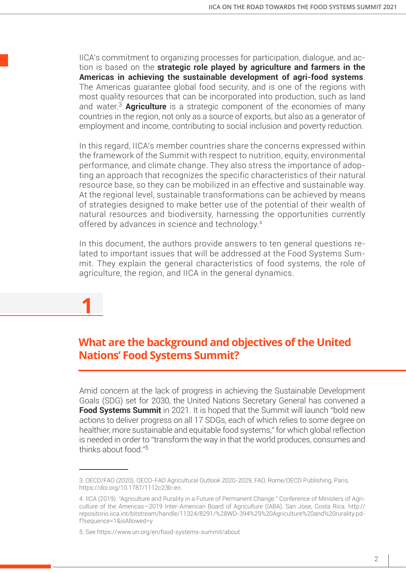IICA's commitment to organizing processes for participation, dialogue, and action is based on the **strategic role played by agriculture and farmers in the Americas in achieving the sustainable development of agri-food systems**. The Americas guarantee global food security, and is one of the regions with most quality resources that can be incorporated into production, such as land and water.<sup>3</sup> **Agriculture** is a strategic component of the economies of many countries in the region, not only as a source of exports, but also as a generator of employment and income, contributing to social inclusion and poverty reduction.

In this regard, IICA's member countries share the concerns expressed within the framework of the Summit with respect to nutrition, equity, environmental performance, and climate change. They also stress the importance of adopting an approach that recognizes the specific characteristics of their natural resource base, so they can be mobilized in an effective and sustainable way. At the regional level, sustainable transformations can be achieved by means of strategies designed to make better use of the potential of their wealth of natural resources and biodiversity, harnessing the opportunities currently offered by advances in science and technology.<sup>4</sup>

In this document, the authors provide answers to ten general questions related to important issues that will be addressed at the Food Systems Summit. They explain the general characteristics of food systems, the role of agriculture, the region, and IICA in the general dynamics.

**1 What are the background and objectives of the United** 

## **Nations' Food Systems Summit?**

Amid concern at the lack of progress in achieving the Sustainable Development Goals (SDG) set for 2030, the United Nations Secretary General has convened a **Food Systems Summit** in 2021. It is hoped that the Summit will launch "bold new actions to deliver progress on all 17 SDGs, each of which relies to some degree on healthier, more sustainable and equitable food systems," for which global reflection is needed in order to "transform the way in that the world produces, consumes and thinks about food."<sup>5</sup>

<sup>3.</sup> OECD/FAO (2020). OECD-FAO Agricultural Outlook 2020-2029, FAO, Rome/OECD Publishing, Paris, https://doi.org/10.1787/1112c23b-en.

<sup>4.</sup> IICA (2019). "Agriculture and Rurality in a Future of Permanent Change." Conference of Ministers of Agriculture of the Americas—2019 Inter-American Board of Agriculture (IABA), San Jose, Costa Rica. http:// repositorio.iica.int/bitstream/handle/11324/8291/%28WD-394%29%20Agriculture%20and%20rurality.pdf?sequence=1&isAllowed=y

<sup>5.</sup> See https://www.un.org/en/food-systems-summit/about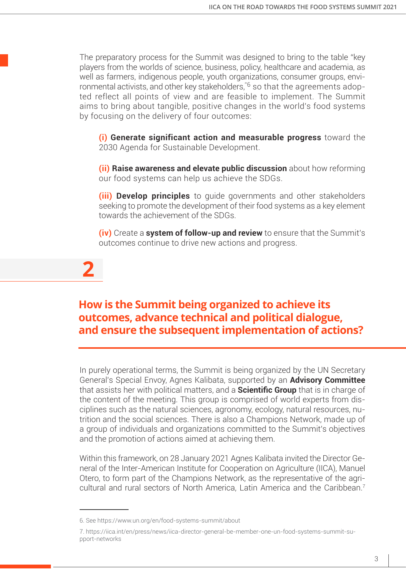The preparatory process for the Summit was designed to bring to the table "key players from the worlds of science, business, policy, healthcare and academia, as well as farmers, indigenous people, youth organizations, consumer groups, environmental activists, and other key stakeholders,"<sup>6</sup> so that the agreements adopted reflect all points of view and are feasible to implement. The Summit aims to bring about tangible, positive changes in the world's food systems by focusing on the delivery of four outcomes:

**(i) Generate significant action and measurable progress** toward the 2030 Agenda for Sustainable Development.

**(ii) Raise awareness and elevate public discussion** about how reforming our food systems can help us achieve the SDGs.

**(iii) Develop principles** to guide governments and other stakeholders seeking to promote the development of their food systems as a key element towards the achievement of the SDGs.

**(iv)** Create a **system of follow-up and review** to ensure that the Summit's outcomes continue to drive new actions and progress.

**2**

### **How is the Summit being organized to achieve its outcomes, advance technical and political dialogue, and ensure the subsequent implementation of actions?**

In purely operational terms, the Summit is being organized by the UN Secretary General's Special Envoy, Agnes Kalibata, supported by an **Advisory Committee** that assists her with political matters, and a **Scientific Group** that is in charge of the content of the meeting. This group is comprised of world experts from disciplines such as the natural sciences, agronomy, ecology, natural resources, nutrition and the social sciences. There is also a Champions Network, made up of a group of individuals and organizations committed to the Summit's objectives and the promotion of actions aimed at achieving them.

Within this framework, on 28 January 2021 Agnes Kalibata invited the Director General of the Inter-American Institute for Cooperation on Agriculture (IICA), Manuel Otero, to form part of the Champions Network, as the representative of the agricultural and rural sectors of North America, Latin America and the Caribbean.7

<sup>6.</sup> See https://www.un.org/en/food-systems-summit/about

<sup>7.</sup> https://iica.int/en/press/news/iica-director-general-be-member-one-un-food-systems-summit-support-networks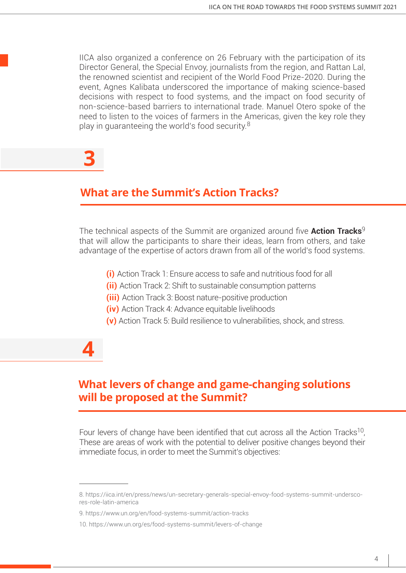IICA also organized a conference on 26 February with the participation of its Director General, the Special Envoy, journalists from the region, and Rattan Lal, the renowned scientist and recipient of the World Food Prize-2020. During the event, Agnes Kalibata underscored the importance of making science-based decisions with respect to food systems, and the impact on food security of non-science-based barriers to international trade. Manuel Otero spoke of the need to listen to the voices of farmers in the Americas, given the key role they play in guaranteeing the world's food security.<sup>8</sup>

# **3**

### **What are the Summit's Action Tracks?**

The technical aspects of the Summit are organized around five **Action Tracks**<sup>9</sup> that will allow the participants to share their ideas, learn from others, and take advantage of the expertise of actors drawn from all of the world's food systems.

- **(i)** Action Track 1: Ensure access to safe and nutritious food for all
- **(ii)** Action Track 2: Shift to sustainable consumption patterns
- **(iii)** Action Track 3: Boost nature-positive production
- **(iv)** Action Track 4: Advance equitable livelihoods
- **(v)** Action Track 5: Build resilience to vulnerabilities, shock, and stress.

## **4**

### **What levers of change and game-changing solutions will be proposed at the Summit?**

Four levers of change have been identified that cut across all the Action Tracks<sup>10</sup>, These are areas of work with the potential to deliver positive changes beyond their immediate focus, in order to meet the Summit's objectives:

<sup>8.</sup> https://iica.int/en/press/news/un-secretary-generals-special-envoy-food-systems-summit-underscores-role-latin-america

<sup>9.</sup> https://www.un.org/en/food-systems-summit/action-tracks

<sup>10.</sup> https://www.un.org/es/food-systems-summit/levers-of-change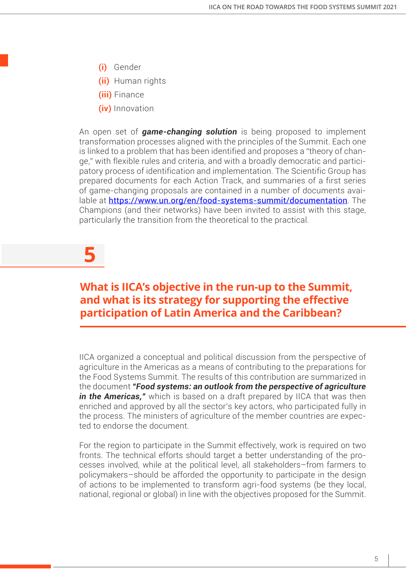- **(i)** Gender
- **(ii)** Human rights
- **(iii)** Finance
- **(iv)** Innovation

An open set of *game-changing solution* is being proposed to implement transformation processes aligned with the principles of the Summit. Each one is linked to a problem that has been identified and proposes a "theory of change," with flexible rules and criteria, and with a broadly democratic and participatory process of identification and implementation. The Scientific Group has prepared documents for each Action Track, and summaries of a first series of game-changing proposals are contained in a number of documents available at https://www.un.org/en/food-systems-summit/documentation. The Champions (and their networks) have been invited to assist with this stage, particularly the transition from the theoretical to the practical.

# **5**

### **What is IICA's objective in the run-up to the Summit, and what is its strategy for supporting the effective participation of Latin America and the Caribbean?**

IICA organized a conceptual and political discussion from the perspective of agriculture in the Americas as a means of contributing to the preparations for the Food Systems Summit. The results of this contribution are summarized in the document *"Food systems: an outlook from the perspective of agriculture in the Americas,"* which is based on a draft prepared by IICA that was then enriched and approved by all the sector's key actors, who participated fully in the process. The ministers of agriculture of the member countries are expected to endorse the document.

For the region to participate in the Summit effectively, work is required on two fronts. The technical efforts should target a better understanding of the processes involved, while at the political level, all stakeholders–from farmers to policymakers–should be afforded the opportunity to participate in the design of actions to be implemented to transform agri-food systems (be they local, national, regional or global) in line with the objectives proposed for the Summit.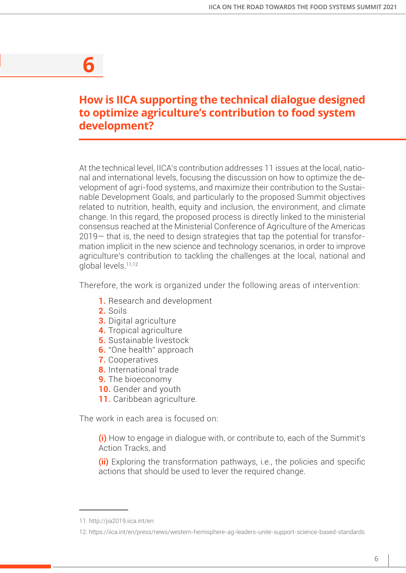## **6**

### **How is IICA supporting the technical dialogue designed to optimize agriculture's contribution to food system development?**

At the technical level, IICA's contribution addresses 11 issues at the local, national and international levels, focusing the discussion on how to optimize the development of agri-food systems, and maximize their contribution to the Sustainable Development Goals, and particularly to the proposed Summit objectives related to nutrition, health, equity and inclusion, the environment, and climate change. In this regard, the proposed process is directly linked to the ministerial consensus reached at the Ministerial Conference of Agriculture of the Americas 2019— that is, the need to design strategies that tap the potential for transformation implicit in the new science and technology scenarios, in order to improve agriculture's contribution to tackling the challenges at the local, national and global levels.<sup>11</sup>,<sup>12</sup>

Therefore, the work is organized under the following areas of intervention:

- **1.** Research and development
- **2.** Soils
- **3.** Digital agriculture
- **4.** Tropical agriculture
- **5.** Sustainable livestock
- **6.** "One health" approach
- **7.** Cooperatives
- **8.** International trade
- **9.** The bioeconomy
- **10.** Gender and youth
- **11.** Caribbean agriculture.

The work in each area is focused on:

**(i)** How to engage in dialogue with, or contribute to, each of the Summit's Action Tracks, and

**(ii)** Exploring the transformation pathways, i.e., the policies and specific actions that should be used to lever the required change.

<sup>11.</sup> http://jia2019.iica.int/en

<sup>12.</sup> https://iica.int/en/press/news/western-hemisphere-ag-leaders-unite-support-science-based-standards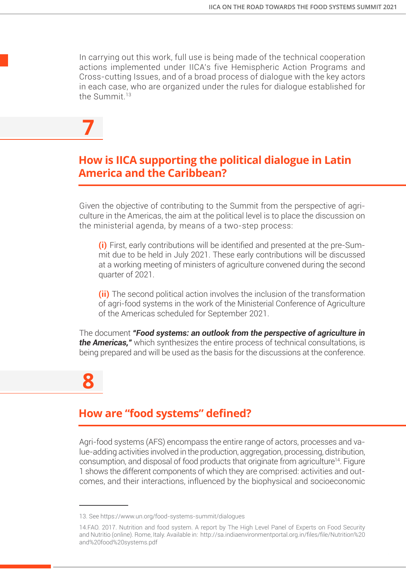In carrying out this work, full use is being made of the technical cooperation actions implemented under IICA's five Hemispheric Action Programs and Cross-cutting Issues, and of a broad process of dialogue with the key actors in each case, who are organized under the rules for dialogue established for the Summit<sup>13</sup>

**7**

### **How is IICA supporting the political dialogue in Latin America and the Caribbean?**

Given the objective of contributing to the Summit from the perspective of agriculture in the Americas, the aim at the political level is to place the discussion on the ministerial agenda, by means of a two-step process:

**(i)** First, early contributions will be identified and presented at the pre-Summit due to be held in July 2021. These early contributions will be discussed at a working meeting of ministers of agriculture convened during the second quarter of 2021.

**(ii)** The second political action involves the inclusion of the transformation of agri-food systems in the work of the Ministerial Conference of Agriculture of the Americas scheduled for September 2021.

The document *"Food systems: an outlook from the perspective of agriculture in the Americas,"* which synthesizes the entire process of technical consultations, is being prepared and will be used as the basis for the discussions at the conference.

**8**

### **How are "food systems" defined?**

Agri-food systems (AFS) encompass the entire range of actors, processes and value-adding activities involved in the production, aggregation, processing, distribution, consumption, and disposal of food products that originate from agriculture<sup>14</sup>. Figure 1 shows the different components of which they are comprised: activities and outcomes, and their interactions, influenced by the biophysical and socioeconomic

<sup>13.</sup> See https://www.un.org/food-systems-summit/dialogues

<sup>14.</sup>FAO. 2017. Nutrition and food system. A report by The High Level Panel of Experts on Food Security and Nutritio (online). Rome, Italy. Available in: http://sa.indiaenvironmentportal.org.in/files/file/Nutrition%20 and%20food%20systems.pdf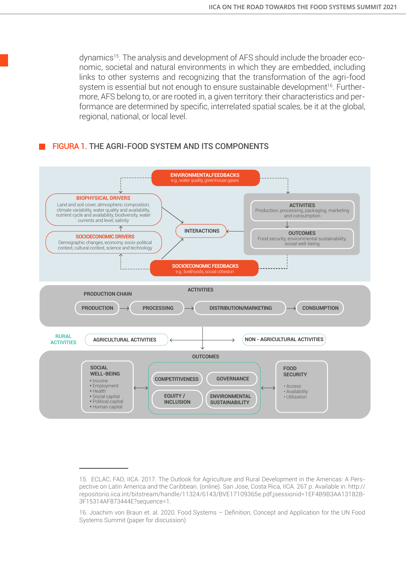dynamics<sup>15</sup>. The analysis and development of AFS should include the broader economic, societal and natural environments in which they are embedded, including links to other systems and recognizing that the transformation of the agri-food system is essential but not enough to ensure sustainable development<sup>16</sup>. Furthermore, AFS belong to, or are rooted in, a given territory: their characteristics and performance are determined by specific, interrelated spatial scales, be it at the global, regional, national, or local level.

#### FIGURA 1. THE AGRI-FOOD SYSTEM AND ITS COMPONENTS



<sup>15.</sup> ECLAC; FAO; IICA. 2017. The Outlook for Agriculture and Rural Development in the Americas: A Perspective on Latin America and the Caribbean. (online). San Jose, Costa Rica, IICA. 267 p. Available in: http:// repositorio.iica.int/bitstream/handle/11324/6143/BVE17109365e.pdf;jsessionid=1EF4B9B3AA13182B-3F15314AF873444E?sequence=1.

<sup>16.</sup> Joachim von Braun et. al. 2020. Food Systems – Definition, Concept and Application for the UN Food Systems Summit (paper for discussion)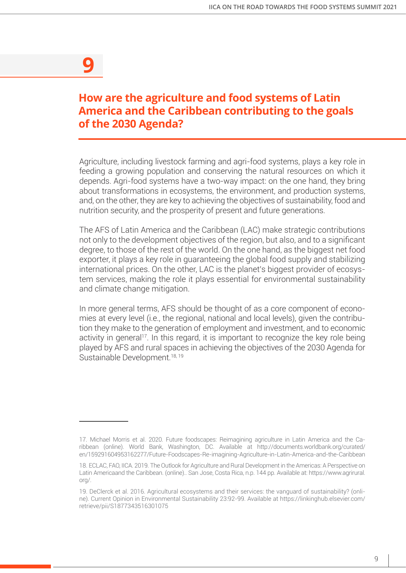## **9**

### **How are the agriculture and food systems of Latin America and the Caribbean contributing to the goals of the 2030 Agenda?**

Agriculture, including livestock farming and agri-food systems, plays a key role in feeding a growing population and conserving the natural resources on which it depends. Agri-food systems have a two-way impact: on the one hand, they bring about transformations in ecosystems, the environment, and production systems, and, on the other, they are key to achieving the objectives of sustainability, food and nutrition security, and the prosperity of present and future generations.

The AFS of Latin America and the Caribbean (LAC) make strategic contributions not only to the development objectives of the region, but also, and to a significant degree, to those of the rest of the world. On the one hand, as the biggest net food exporter, it plays a key role in guaranteeing the global food supply and stabilizing international prices. On the other, LAC is the planet's biggest provider of ecosystem services, making the role it plays essential for environmental sustainability and climate change mitigation.

In more general terms, AFS should be thought of as a core component of economies at every level (i.e., the regional, national and local levels), given the contribution they make to the generation of employment and investment, and to economic activity in general<sup>17</sup>. In this regard, it is important to recognize the key role being played by AFS and rural spaces in achieving the objectives of the 2030 Agenda for Sustainable Development.<sup>18, 19</sup>

<sup>17.</sup> Michael Morris et al. 2020. Future foodscapes: Reimagining agriculture in Latin America and the Caribbean (online). World Bank, Washington, DC. Available at http://documents.worldbank.org/curated/ en/159291604953162277/Future-Foodscapes-Re-imagining-Agriculture-in-Latin-America-and-the-Caribbean

<sup>18.</sup> ECLAC, FAO, IICA. 2019. The Outlook for Agriculture and Rural Development in the Americas: A Perspective on Latin Americaand the Caribbean. (online).. San Jose, Costa Rica, n.p. 144 pp. Available at: https://www.agrirural. org/.

<sup>19.</sup> DeClerck et al. 2016. Agricultural ecosystems and their services: the vanguard of sustainability? (online). Current Opinion in Environmental Sustainability 23:92-99. Available at https://linkinghub.elsevier.com/ retrieve/pii/S1877343516301075